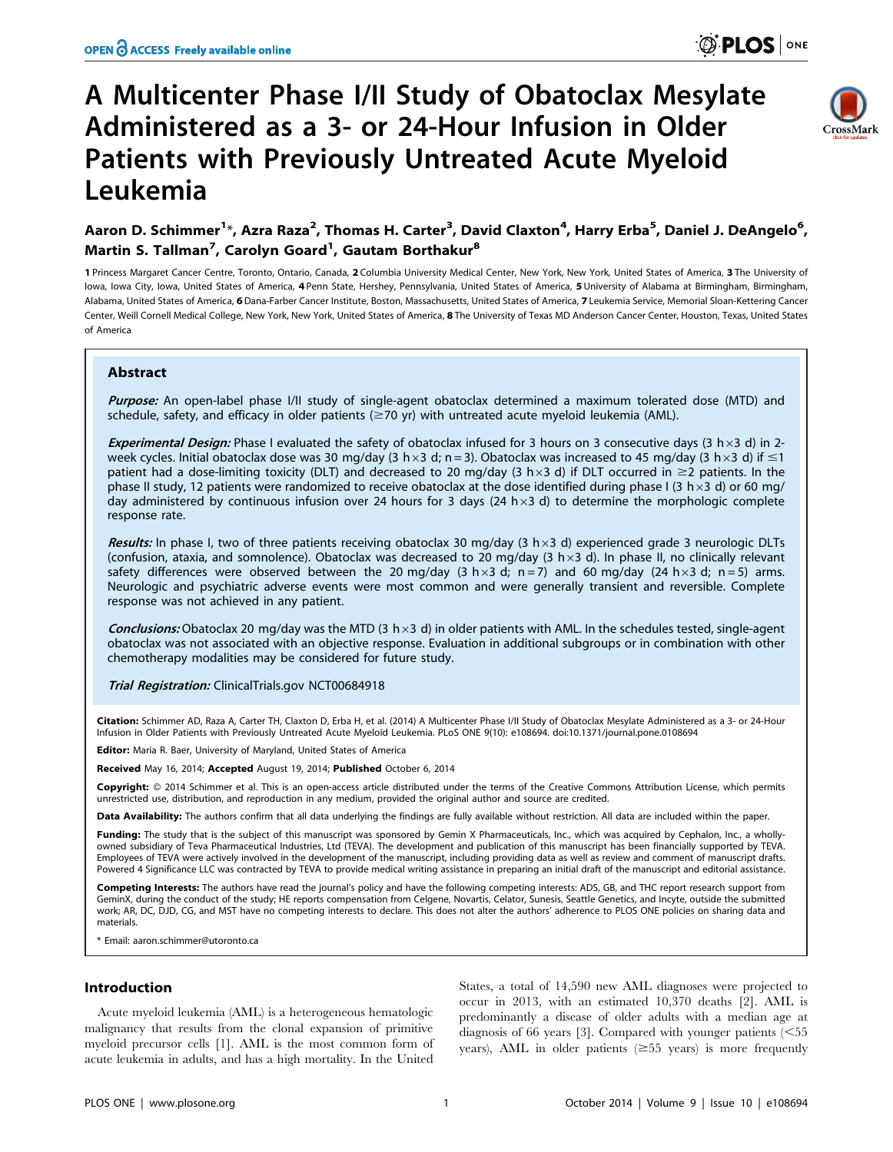# A Multicenter Phase I/II Study of Obatoclax Mesylate Administered as a 3- or 24-Hour Infusion in Older Patients with Previously Untreated Acute Myeloid Leukemia



## Aaron D. Schimmer<sup>1</sup>\*, Azra Raza<sup>2</sup>, Thomas H. Carter<sup>3</sup>, David Claxton<sup>4</sup>, Harry Erba<sup>5</sup>, Daniel J. DeAngelo<sup>6</sup>, Martin S. Tallman<sup>7</sup>, Carolyn Goard<sup>1</sup>, Gautam Borthakur<sup>8</sup>

1 Princess Margaret Cancer Centre, Toronto, Ontario, Canada, 2 Columbia University Medical Center, New York, New York, United States of America, 3 The University of Iowa, Iowa City, Iowa, United States of America, 4 Penn State, Hershey, Pennsylvania, United States of America, 5 University of Alabama at Birmingham, Birmingham, Alabama, United States of America, 6 Dana-Farber Cancer Institute, Boston, Massachusetts, United States of America, 7 Leukemia Service, Memorial Sloan-Kettering Cancer Center, Weill Cornell Medical College, New York, New York, United States of America, 8 The University of Texas MD Anderson Cancer Center, Houston, Texas, United States of America

## Abstract

Purpose: An open-label phase I/II study of single-agent obatoclax determined a maximum tolerated dose (MTD) and schedule, safety, and efficacy in older patients ( $\geq$ 70 yr) with untreated acute myeloid leukemia (AML).

Experimental Design: Phase I evaluated the safety of obatoclax infused for 3 hours on 3 consecutive days (3 h  $\times$ 3 d) in 2week cycles. Initial obatoclax dose was 30 mg/day (3 h × 3 d; n = 3). Obatoclax was increased to 45 mg/day (3 h × 3 d) if  $\leq 1$ patient had a dose-limiting toxicity (DLT) and decreased to 20 mg/day (3 h × 3 d) if DLT occurred in  $\geq$ 2 patients. In the phase II study, 12 patients were randomized to receive obatoclax at the dose identified during phase I (3 h $\times$ 3 d) or 60 mg/ day administered by continuous infusion over 24 hours for 3 days (24 h $\times$ 3 d) to determine the morphologic complete response rate.

Results: In phase I, two of three patients receiving obatoclax 30 mg/day (3 h $\times$ 3 d) experienced grade 3 neurologic DLTs (confusion, ataxia, and somnolence). Obatoclax was decreased to 20 mg/day (3 h  $\times$ 3 d). In phase II, no clinically relevant safety differences were observed between the 20 mg/day (3 h × 3 d; n = 7) and 60 mg/day (24 h × 3 d; n = 5) arms. Neurologic and psychiatric adverse events were most common and were generally transient and reversible. Complete response was not achieved in any patient.

**Conclusions:** Obatoclax 20 mg/day was the MTD (3 h  $\times$ 3 d) in older patients with AML. In the schedules tested, single-agent obatoclax was not associated with an objective response. Evaluation in additional subgroups or in combination with other chemotherapy modalities may be considered for future study.

Trial Registration: ClinicalTrials.gov [NCT00684918](http://clinicaltrials.gov/show/NCT00684918)

Citation: Schimmer AD, Raza A, Carter TH, Claxton D, Erba H, et al. (2014) A Multicenter Phase I/II Study of Obatoclax Mesylate Administered as a 3- or 24-Hour Infusion in Older Patients with Previously Untreated Acute Myeloid Leukemia. PLoS ONE 9(10): e108694. doi:10.1371/journal.pone.0108694

Editor: Maria R. Baer, University of Maryland, United States of America

Received May 16, 2014; Accepted August 19, 2014; Published October 6, 2014

Copyright: © 2014 Schimmer et al. This is an open-access article distributed under the terms of the [Creative Commons Attribution License](http://creativecommons.org/licenses/by/4.0/), which permits unrestricted use, distribution, and reproduction in any medium, provided the original author and source are credited.

Data Availability: The authors confirm that all data underlying the findings are fully available without restriction. All data are included within the paper.

Funding: The study that is the subject of this manuscript was sponsored by Gemin X Pharmaceuticals, Inc., which was acquired by Cephalon, Inc., a whollyowned subsidiary of Teva Pharmaceutical Industries, Ltd (TEVA). The development and publication of this manuscript has been financially supported by TEVA. Employees of TEVA were actively involved in the development of the manuscript, including providing data as well as review and comment of manuscript drafts. Powered 4 Significance LLC was contracted by TEVA to provide medical writing assistance in preparing an initial draft of the manuscript and editorial assistance.

Competing Interests: The authors have read the journal's policy and have the following competing interests: ADS, GB, and THC report research support from GeminX, during the conduct of the study; HE reports compensation from Celgene, Novartis, Celator, Sunesis, Seattle Genetics, and Incyte, outside the submitted work; AR, DC, DJD, CG, and MST have no competing interests to declare. This does not alter the authors' adherence to PLOS ONE policies on sharing data and materials.

\* Email: aaron.schimmer@utoronto.ca

## Introduction

Acute myeloid leukemia (AML) is a heterogeneous hematologic malignancy that results from the clonal expansion of primitive myeloid precursor cells [1]. AML is the most common form of acute leukemia in adults, and has a high mortality. In the United

States, a total of 14,590 new AML diagnoses were projected to occur in 2013, with an estimated 10,370 deaths [2]. AML is predominantly a disease of older adults with a median age at diagnosis of 66 years [3]. Compared with younger patients  $\leq 55$ years), AML in older patients  $(\geq 55$  years) is more frequently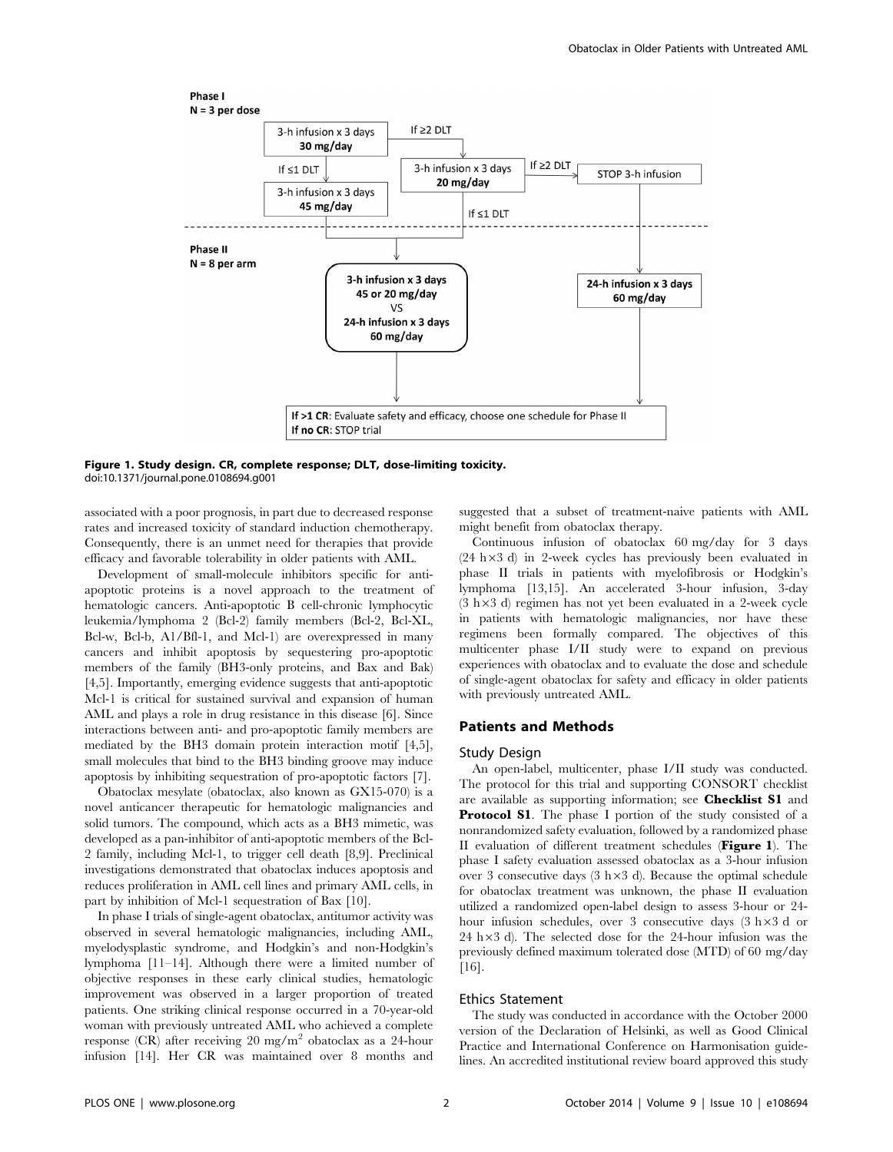

Figure 1. Study design. CR, complete response; DLT, dose-limiting toxicity. doi:10.1371/journal.pone.0108694.g001

associated with a poor prognosis, in part due to decreased response rates and increased toxicity of standard induction chemotherapy. Consequently, there is an unmet need for therapies that provide efficacy and favorable tolerability in older patients with AML.

Development of small-molecule inhibitors specific for antiapoptotic proteins is a novel approach to the treatment of hematologic cancers. Anti-apoptotic B cell-chronic lymphocytic leukemia/lymphoma 2 (Bcl-2) family members (Bcl-2, Bcl-XL, Bcl-w, Bcl-b, A1/Bfl-1, and Mcl-1) are overexpressed in many cancers and inhibit apoptosis by sequestering pro-apoptotic members of the family (BH3-only proteins, and Bax and Bak) [4,5]. Importantly, emerging evidence suggests that anti-apoptotic Mcl-1 is critical for sustained survival and expansion of human AML and plays a role in drug resistance in this disease [6]. Since interactions between anti- and pro-apoptotic family members are mediated by the BH3 domain protein interaction motif [4,5], small molecules that bind to the BH3 binding groove may induce apoptosis by inhibiting sequestration of pro-apoptotic factors [7].

Obatoclax mesylate (obatoclax, also known as GX15-070) is a novel anticancer therapeutic for hematologic malignancies and solid tumors. The compound, which acts as a BH3 mimetic, was developed as a pan-inhibitor of anti-apoptotic members of the Bcl-2 family, including Mcl-1, to trigger cell death [8,9]. Preclinical investigations demonstrated that obatoclax induces apoptosis and reduces proliferation in AML cell lines and primary AML cells, in part by inhibition of Mcl-1 sequestration of Bax [10].

In phase I trials of single-agent obatoclax, antitumor activity was observed in several hematologic malignancies, including AML, myelodysplastic syndrome, and Hodgkin's and non-Hodgkin's lymphoma [11–14]. Although there were a limited number of objective responses in these early clinical studies, hematologic improvement was observed in a larger proportion of treated patients. One striking clinical response occurred in a 70-year-old woman with previously untreated AML who achieved a complete response (CR) after receiving 20 mg/m<sup>2</sup> obatoclax as a 24-hour infusion [14]. Her CR was maintained over 8 months and suggested that a subset of treatment-naive patients with AML might benefit from obatoclax therapy.

Continuous infusion of obatoclax 60 mg/day for 3 days  $(24 h \times 3 d)$  in 2-week cycles has previously been evaluated in phase II trials in patients with myelofibrosis or Hodgkin's lymphoma [13,15]. An accelerated 3-hour infusion, 3-day  $(3 h \times 3 d)$  regimen has not yet been evaluated in a 2-week cycle in patients with hematologic malignancies, nor have these regimens been formally compared. The objectives of this multicenter phase I/II study were to expand on previous experiences with obatoclax and to evaluate the dose and schedule of single-agent obatoclax for safety and efficacy in older patients with previously untreated AML.

## Patients and Methods

## Study Design

An open-label, multicenter, phase I/II study was conducted. The protocol for this trial and supporting CONSORT checklist are available as supporting information; see Checklist S1 and Protocol S1. The phase I portion of the study consisted of a nonrandomized safety evaluation, followed by a randomized phase II evaluation of different treatment schedules (Figure 1). The phase I safety evaluation assessed obatoclax as a 3-hour infusion over 3 consecutive days  $(3 h \times 3 d)$ . Because the optimal schedule for obatoclax treatment was unknown, the phase II evaluation utilized a randomized open-label design to assess 3-hour or 24 hour infusion schedules, over 3 consecutive days  $(3 h \times 3 d)$  or 24 h $\times$ 3 d). The selected dose for the 24-hour infusion was the previously defined maximum tolerated dose (MTD) of 60 mg/day [16].

## Ethics Statement

The study was conducted in accordance with the October 2000 version of the Declaration of Helsinki, as well as Good Clinical Practice and International Conference on Harmonisation guidelines. An accredited institutional review board approved this study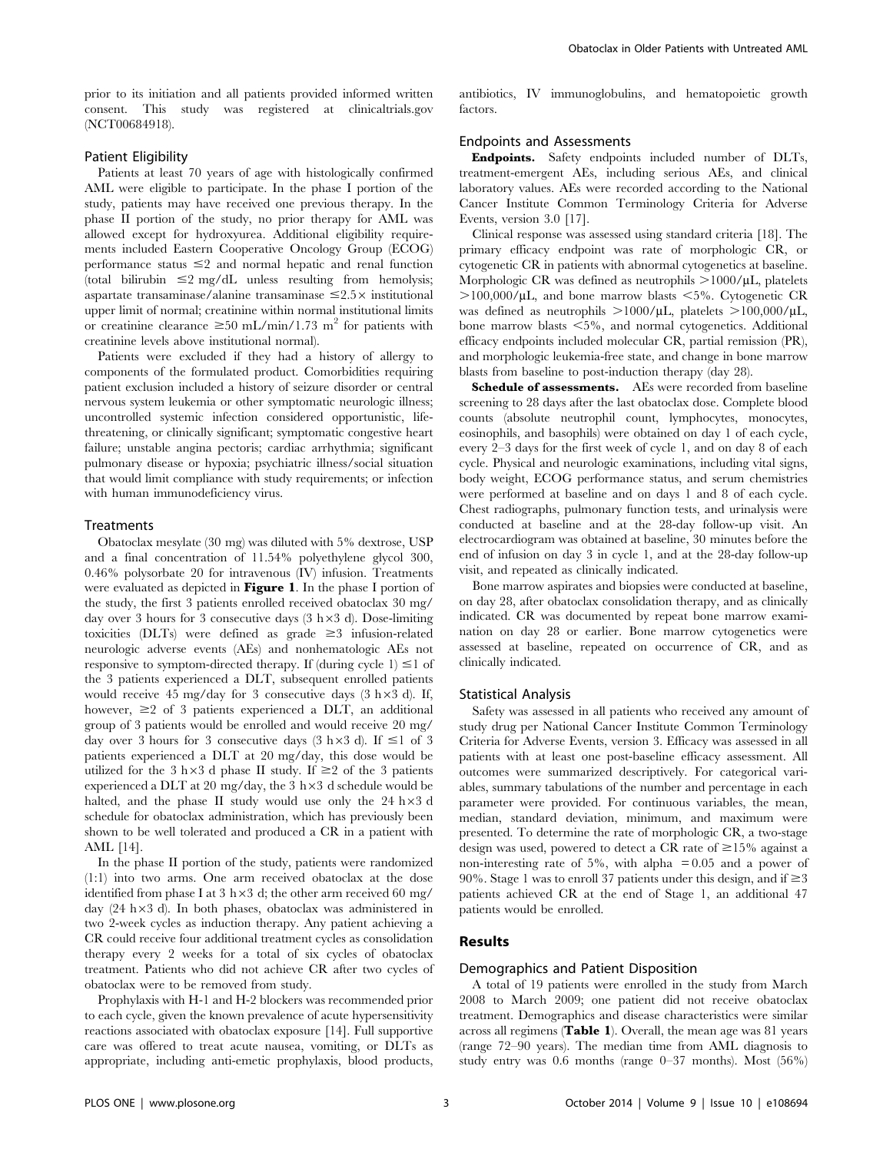prior to its initiation and all patients provided informed written consent. This study was registered at clinicaltrials.gov (NCT00684918).

### Patient Eligibility

Patients at least 70 years of age with histologically confirmed AML were eligible to participate. In the phase I portion of the study, patients may have received one previous therapy. In the phase II portion of the study, no prior therapy for AML was allowed except for hydroxyurea. Additional eligibility requirements included Eastern Cooperative Oncology Group (ECOG) performance status  $\leq$  and normal hepatic and renal function (total bilirubin  $\leq 2$  mg/dL unless resulting from hemolysis; aspartate transaminase/alanine transaminase  $\leq 2.5 \times$  institutional upper limit of normal; creatinine within normal institutional limits or creatinine clearance  $\geq 50$  mL/min/1.73 m<sup>2</sup> for patients with creatinine levels above institutional normal).

Patients were excluded if they had a history of allergy to components of the formulated product. Comorbidities requiring patient exclusion included a history of seizure disorder or central nervous system leukemia or other symptomatic neurologic illness; uncontrolled systemic infection considered opportunistic, lifethreatening, or clinically significant; symptomatic congestive heart failure; unstable angina pectoris; cardiac arrhythmia; significant pulmonary disease or hypoxia; psychiatric illness/social situation that would limit compliance with study requirements; or infection with human immunodeficiency virus.

#### **Treatments**

Obatoclax mesylate (30 mg) was diluted with 5% dextrose, USP and a final concentration of 11.54% polyethylene glycol 300, 0.46% polysorbate 20 for intravenous (IV) infusion. Treatments were evaluated as depicted in Figure 1. In the phase I portion of the study, the first 3 patients enrolled received obatoclax 30 mg/ day over 3 hours for 3 consecutive days  $(3 \; h \times 3 \; d)$ . Dose-limiting toxicities (DLTs) were defined as grade  $\geq$ 3 infusion-related neurologic adverse events (AEs) and nonhematologic AEs not responsive to symptom-directed therapy. If (during cycle 1)  $\leq$  1 of the 3 patients experienced a DLT, subsequent enrolled patients would receive 45 mg/day for 3 consecutive days  $(3 \text{ h} \times 3 \text{ d})$ . If, however,  $\geq 2$  of 3 patients experienced a DLT, an additional group of 3 patients would be enrolled and would receive 20 mg/ day over 3 hours for 3 consecutive days (3 h $\times$ 3 d). If  $\leq$ 1 of 3 patients experienced a DLT at 20 mg/day, this dose would be utilized for the 3 h $\times$ 3 d phase II study. If  $\geq$  2 of the 3 patients experienced a DLT at 20 mg/day, the 3 h $\times$ 3 d schedule would be halted, and the phase II study would use only the  $24 h \times 3 d$ schedule for obatoclax administration, which has previously been shown to be well tolerated and produced a CR in a patient with AML [14].

In the phase II portion of the study, patients were randomized (1:1) into two arms. One arm received obatoclax at the dose identified from phase I at 3 h $\times$ 3 d; the other arm received 60 mg/ day  $(24 \text{ h} \times 3 \text{ d})$ . In both phases, obatoclax was administered in two 2-week cycles as induction therapy. Any patient achieving a CR could receive four additional treatment cycles as consolidation therapy every 2 weeks for a total of six cycles of obatoclax treatment. Patients who did not achieve CR after two cycles of obatoclax were to be removed from study.

Prophylaxis with H-1 and H-2 blockers was recommended prior to each cycle, given the known prevalence of acute hypersensitivity reactions associated with obatoclax exposure [14]. Full supportive care was offered to treat acute nausea, vomiting, or DLTs as appropriate, including anti-emetic prophylaxis, blood products,

antibiotics, IV immunoglobulins, and hematopoietic growth factors.

## Endpoints and Assessments

Endpoints. Safety endpoints included number of DLTs, treatment-emergent AEs, including serious AEs, and clinical laboratory values. AEs were recorded according to the National Cancer Institute Common Terminology Criteria for Adverse Events, version 3.0 [17].

Clinical response was assessed using standard criteria [18]. The primary efficacy endpoint was rate of morphologic CR, or cytogenetic CR in patients with abnormal cytogenetics at baseline. Morphologic CR was defined as neutrophils  $>1000/\mu L$ , platelets  $>100,000/\mu L$ , and bone marrow blasts  $< 5\%$ . Cytogenetic CR was defined as neutrophils  $>1000/\mu L$ , platelets  $>100,000/\mu L$ , bone marrow blasts  $\leq 5\%$ , and normal cytogenetics. Additional efficacy endpoints included molecular CR, partial remission (PR), and morphologic leukemia-free state, and change in bone marrow blasts from baseline to post-induction therapy (day 28).

Schedule of assessments. AEs were recorded from baseline screening to 28 days after the last obatoclax dose. Complete blood counts (absolute neutrophil count, lymphocytes, monocytes, eosinophils, and basophils) were obtained on day 1 of each cycle, every 2–3 days for the first week of cycle 1, and on day 8 of each cycle. Physical and neurologic examinations, including vital signs, body weight, ECOG performance status, and serum chemistries were performed at baseline and on days 1 and 8 of each cycle. Chest radiographs, pulmonary function tests, and urinalysis were conducted at baseline and at the 28-day follow-up visit. An electrocardiogram was obtained at baseline, 30 minutes before the end of infusion on day 3 in cycle 1, and at the 28-day follow-up visit, and repeated as clinically indicated.

Bone marrow aspirates and biopsies were conducted at baseline, on day 28, after obatoclax consolidation therapy, and as clinically indicated. CR was documented by repeat bone marrow examination on day 28 or earlier. Bone marrow cytogenetics were assessed at baseline, repeated on occurrence of CR, and as clinically indicated.

#### Statistical Analysis

Safety was assessed in all patients who received any amount of study drug per National Cancer Institute Common Terminology Criteria for Adverse Events, version 3. Efficacy was assessed in all patients with at least one post-baseline efficacy assessment. All outcomes were summarized descriptively. For categorical variables, summary tabulations of the number and percentage in each parameter were provided. For continuous variables, the mean, median, standard deviation, minimum, and maximum were presented. To determine the rate of morphologic CR, a two-stage design was used, powered to detect a CR rate of  $\geq 15\%$  against a non-interesting rate of 5%, with alpha  $= 0.05$  and a power of 90%. Stage 1 was to enroll 37 patients under this design, and if  $\geq$  3 patients achieved CR at the end of Stage 1, an additional 47 patients would be enrolled.

## Results

## Demographics and Patient Disposition

A total of 19 patients were enrolled in the study from March 2008 to March 2009; one patient did not receive obatoclax treatment. Demographics and disease characteristics were similar across all regimens (Table 1). Overall, the mean age was 81 years (range 72–90 years). The median time from AML diagnosis to study entry was 0.6 months (range 0–37 months). Most (56%)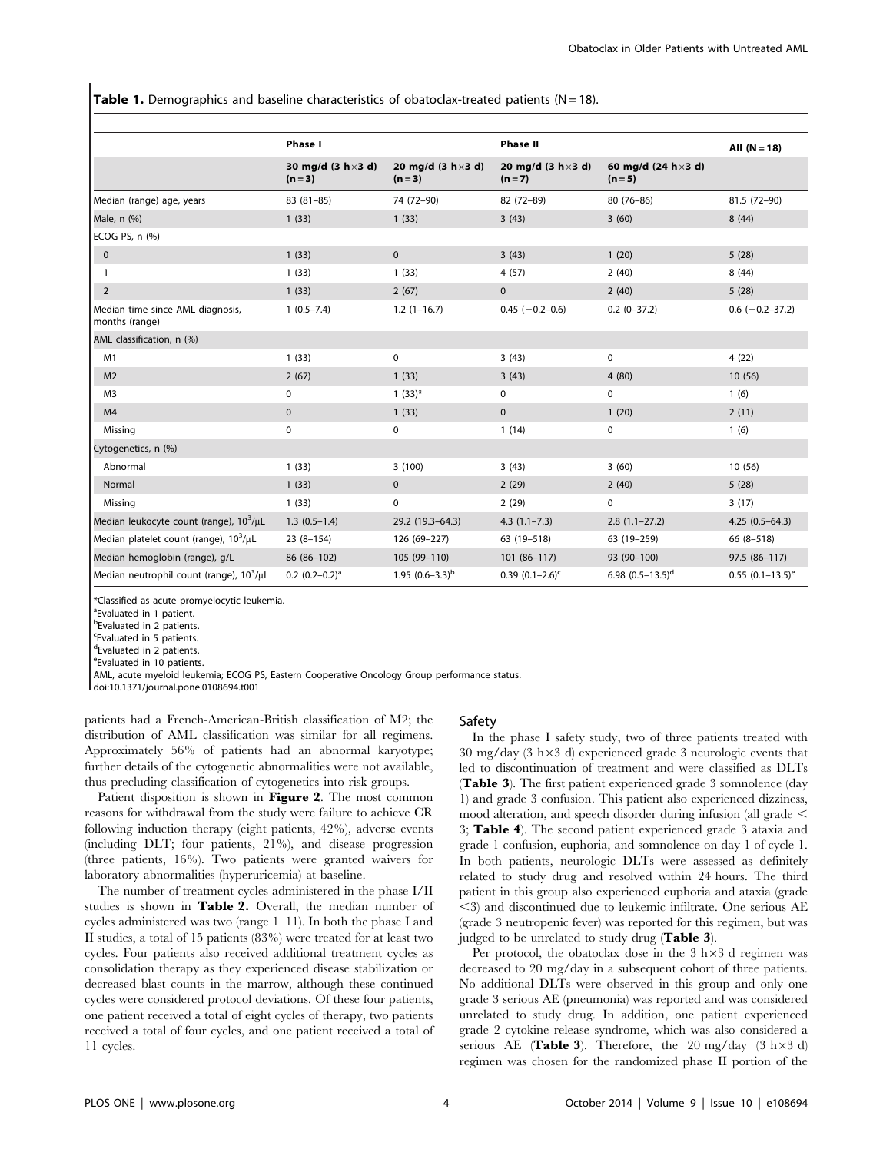**Table 1.** Demographics and baseline characteristics of obatoclax-treated patients ( $N = 18$ ).

|                                                      | Phase I                                 |                                         | <b>Phase II</b>                         |                                          | All $(N = 18)$        |
|------------------------------------------------------|-----------------------------------------|-----------------------------------------|-----------------------------------------|------------------------------------------|-----------------------|
|                                                      | 30 mg/d $(3 h \times 3 d)$<br>$(n = 3)$ | 20 mg/d $(3 h \times 3 d)$<br>$(n = 3)$ | 20 mg/d $(3 h \times 3 d)$<br>$(n = 7)$ | 60 mg/d $(24 h \times 3 d)$<br>$(n = 5)$ |                       |
| Median (range) age, years                            | $83(81-85)$                             | 74 (72-90)                              | 82 (72-89)                              | 80 (76-86)                               | 81.5 (72-90)          |
| Male, n (%)                                          | 1(33)                                   | 1(33)                                   | 3(43)                                   | 3(60)                                    | 8(44)                 |
| ECOG PS, n (%)                                       |                                         |                                         |                                         |                                          |                       |
| $\pmb{0}$                                            | 1(33)                                   | $\mathbf 0$                             | 3(43)                                   | 1(20)                                    | 5(28)                 |
| 1                                                    | 1(33)                                   | 1(33)                                   | 4(57)                                   | 2(40)                                    | 8(44)                 |
| $\overline{2}$                                       | 1(33)                                   | 2(67)                                   | $\mathbf 0$                             | 2(40)                                    | 5(28)                 |
| Median time since AML diagnosis,<br>months (range)   | $1(0.5 - 7.4)$                          | $1.2(1-16.7)$                           | $0.45$ (-0.2-0.6)                       | $0.2(0-37.2)$                            | $0.6$ (-0.2-37.2)     |
| AML classification, n (%)                            |                                         |                                         |                                         |                                          |                       |
| M1                                                   | 1(33)                                   | 0                                       | 3(43)                                   | 0                                        | 4(22)                 |
| M <sub>2</sub>                                       | 2(67)                                   | 1(33)                                   | 3(43)                                   | 4(80)                                    | 10(56)                |
| M <sub>3</sub>                                       | 0                                       | $1(33)*$                                | 0                                       | 0                                        | 1(6)                  |
| M4                                                   | $\pmb{0}$                               | 1(33)                                   | $\mathbf 0$                             | 1(20)                                    | 2(11)                 |
| Missing                                              | $\pmb{0}$                               | 0                                       | 1(14)                                   | 0                                        | 1(6)                  |
| Cytogenetics, n (%)                                  |                                         |                                         |                                         |                                          |                       |
| Abnormal                                             | 1(33)                                   | 3(100)                                  | 3(43)                                   | 3(60)                                    | 10 (56)               |
| Normal                                               | 1(33)                                   | $\mathbf 0$                             | 2(29)                                   | 2(40)                                    | 5(28)                 |
| Missing                                              | 1(33)                                   | 0                                       | 2(29)                                   | 0                                        | 3(17)                 |
| Median leukocyte count (range), $10^3/\mu L$         | $1.3(0.5-1.4)$                          | 29.2 (19.3-64.3)                        | $4.3(1.1 - 7.3)$                        | $2.8(1.1-27.2)$                          | $4.25(0.5-64.3)$      |
| Median platelet count (range), 10 <sup>3</sup> /µL   | $23(8-154)$                             | 126 (69-227)                            | 63 (19-518)                             | 63 (19-259)                              | 66 (8-518)            |
| Median hemoglobin (range), g/L                       | 86 (86-102)                             | 105 (99-110)                            | 101 (86-117)                            | 93 (90-100)                              | 97.5 (86-117)         |
| Median neutrophil count (range), 10 <sup>3</sup> /µL | $0.2 (0.2 - 0.2)^a$                     | 1.95 $(0.6-3.3)^{b}$                    | 0.39 $(0.1-2.6)^c$                      | 6.98 $(0.5-13.5)^d$                      | $0.55$ $(0.1-13.5)^e$ |

\*Classified as acute promyelocytic leukemia.

<sup>a</sup> Evaluated in 1 patient.

**b**Evaluated in 2 patients.

c Evaluated in 5 patients.

d Evaluated in 2 patients.

e Evaluated in 10 patients.

AML, acute myeloid leukemia; ECOG PS, Eastern Cooperative Oncology Group performance status.

doi:10.1371/journal.pone.0108694.t001

patients had a French-American-British classification of M2; the distribution of AML classification was similar for all regimens. Approximately 56% of patients had an abnormal karyotype; further details of the cytogenetic abnormalities were not available, thus precluding classification of cytogenetics into risk groups.

Patient disposition is shown in Figure 2. The most common reasons for withdrawal from the study were failure to achieve CR following induction therapy (eight patients, 42%), adverse events (including DLT; four patients, 21%), and disease progression (three patients, 16%). Two patients were granted waivers for laboratory abnormalities (hyperuricemia) at baseline.

The number of treatment cycles administered in the phase I/II studies is shown in Table 2. Overall, the median number of cycles administered was two (range 1–11). In both the phase I and II studies, a total of 15 patients (83%) were treated for at least two cycles. Four patients also received additional treatment cycles as consolidation therapy as they experienced disease stabilization or decreased blast counts in the marrow, although these continued cycles were considered protocol deviations. Of these four patients, one patient received a total of eight cycles of therapy, two patients received a total of four cycles, and one patient received a total of 11 cycles.

## Safety

In the phase I safety study, two of three patients treated with  $30 \text{ mg/day}$  (3 h $\times$ 3 d) experienced grade 3 neurologic events that led to discontinuation of treatment and were classified as DLTs (Table 3). The first patient experienced grade 3 somnolence (day 1) and grade 3 confusion. This patient also experienced dizziness, mood alteration, and speech disorder during infusion (all grade  $\leq$ 3; Table 4). The second patient experienced grade 3 ataxia and grade 1 confusion, euphoria, and somnolence on day 1 of cycle 1. In both patients, neurologic DLTs were assessed as definitely related to study drug and resolved within 24 hours. The third patient in this group also experienced euphoria and ataxia (grade  $\leq$ 3) and discontinued due to leukemic infiltrate. One serious AE (grade 3 neutropenic fever) was reported for this regimen, but was judged to be unrelated to study drug (Table 3).

Per protocol, the obatoclax dose in the  $3 h \times 3 d$  regimen was decreased to 20 mg/day in a subsequent cohort of three patients. No additional DLTs were observed in this group and only one grade 3 serious AE (pneumonia) was reported and was considered unrelated to study drug. In addition, one patient experienced grade 2 cytokine release syndrome, which was also considered a serious AE (Table 3). Therefore, the 20 mg/day  $(3 \text{ h} \times 3 \text{ d})$ regimen was chosen for the randomized phase II portion of the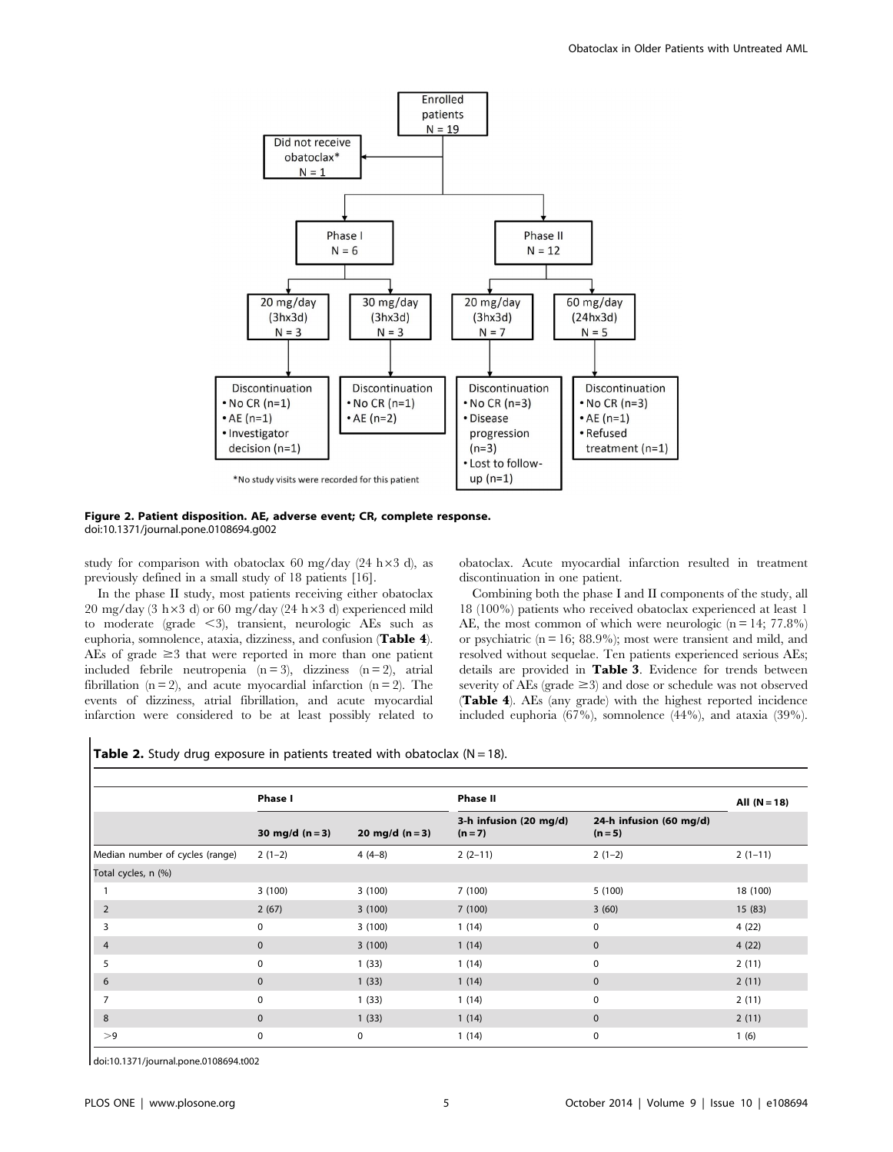

Figure 2. Patient disposition. AE, adverse event; CR, complete response. doi:10.1371/journal.pone.0108694.g002

study for comparison with obatoclax 60 mg/day (24 h $\times$ 3 d), as previously defined in a small study of 18 patients [16].

In the phase II study, most patients receiving either obatoclax 20 mg/day (3 h $\times$ 3 d) or 60 mg/day (24 h $\times$ 3 d) experienced mild to moderate (grade  $\leq$ 3), transient, neurologic AEs such as euphoria, somnolence, ataxia, dizziness, and confusion (Table 4). AEs of grade  $\geq$ 3 that were reported in more than one patient included febrile neutropenia  $(n=3)$ , dizziness  $(n=2)$ , atrial fibrillation ( $n = 2$ ), and acute myocardial infarction ( $n = 2$ ). The events of dizziness, atrial fibrillation, and acute myocardial infarction were considered to be at least possibly related to obatoclax. Acute myocardial infarction resulted in treatment discontinuation in one patient.

Combining both the phase I and II components of the study, all 18 (100%) patients who received obatoclax experienced at least 1 AE, the most common of which were neurologic  $(n = 14; 77.8\%)$ or psychiatric  $(n = 16; 88.9\%)$ ; most were transient and mild, and resolved without sequelae. Ten patients experienced serious AEs; details are provided in Table 3. Evidence for trends between severity of AEs (grade  $\geq$ 3) and dose or schedule was not observed (Table 4). AEs (any grade) with the highest reported incidence included euphoria (67%), somnolence (44%), and ataxia (39%).

**Table 2.** Study drug exposure in patients treated with obatoclax  $(N = 18)$ .

|                                 | Phase I           |                 | <b>Phase II</b>                   |                                      | All $(N = 18)$ |
|---------------------------------|-------------------|-----------------|-----------------------------------|--------------------------------------|----------------|
|                                 | 30 mg/d $(n = 3)$ | 20 mg/d $(n=3)$ | 3-h infusion (20 mg/d)<br>$(n=7)$ | 24-h infusion (60 mg/d)<br>$(n = 5)$ |                |
| Median number of cycles (range) | $2(1-2)$          | $4(4-8)$        | $2(2-11)$                         | $2(1-2)$                             | $2(1-11)$      |
| Total cycles, n (%)             |                   |                 |                                   |                                      |                |
|                                 | 3(100)            | 3(100)          | 7(100)                            | 5(100)                               | 18 (100)       |
| $\overline{2}$                  | 2(67)             | 3(100)          | 7(100)                            | 3(60)                                | 15(83)         |
| 3                               | $\mathbf 0$       | 3(100)          | 1(14)                             | $\mathbf 0$                          | 4(22)          |
| 4                               | $\mathbf{0}$      | 3(100)          | 1(14)                             | $\mathbf{0}$                         | 4(22)          |
| 5                               | $\mathbf 0$       | 1(33)           | 1(14)                             | $\mathbf 0$                          | 2(11)          |
| 6                               | $\mathbf{0}$      | 1(33)           | 1(14)                             | $\mathbf{0}$                         | 2(11)          |
|                                 | $\Omega$          | 1(33)           | 1(14)                             | $\mathbf{0}$                         | 2(11)          |
| 8                               | $\Omega$          | 1(33)           | 1(14)                             | $\Omega$                             | 2(11)          |
| >9                              | $\mathbf 0$       | $\mathbf 0$     | 1(14)                             | 0                                    | 1(6)           |

doi:10.1371/journal.pone.0108694.t002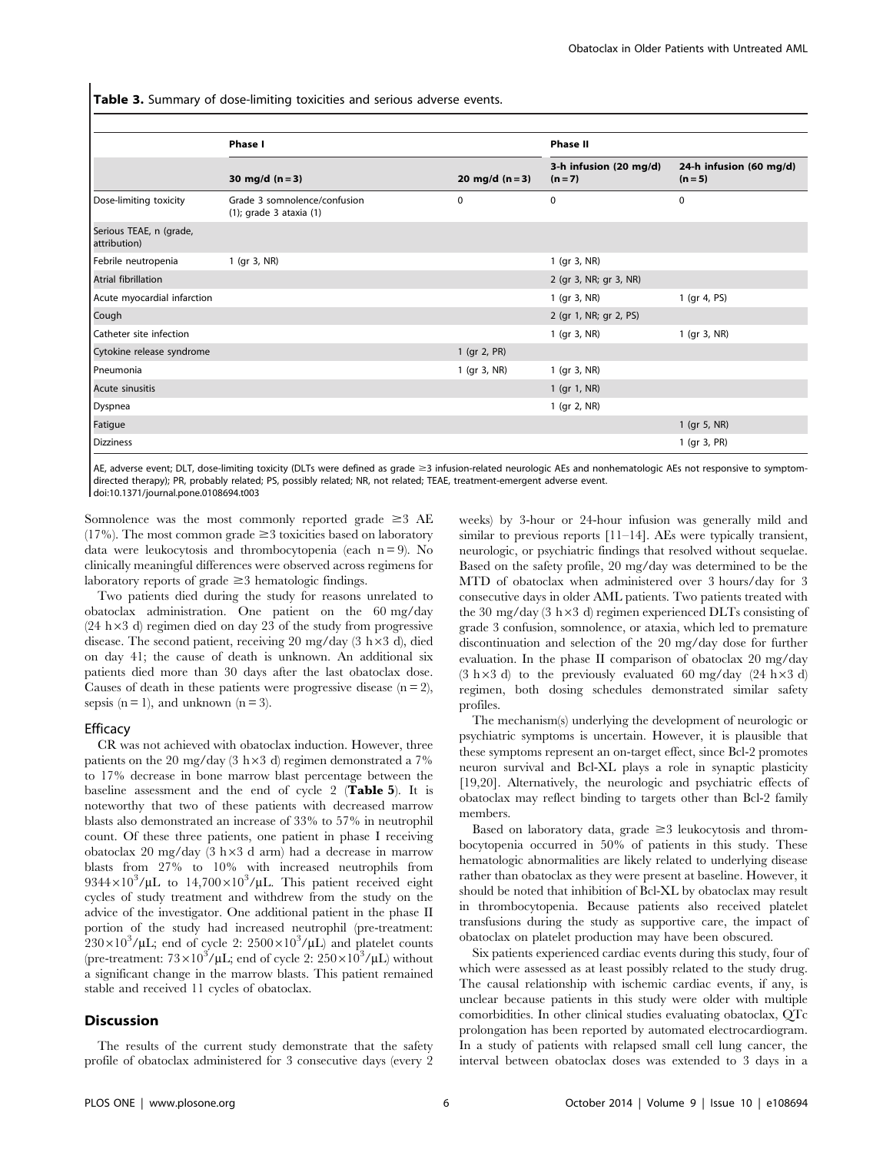Table 3. Summary of dose-limiting toxicities and serious adverse events.

|                                         | <b>Phase I</b>                                               |                   | <b>Phase II</b>                   |                                      |
|-----------------------------------------|--------------------------------------------------------------|-------------------|-----------------------------------|--------------------------------------|
|                                         | 30 mg/d $(n = 3)$                                            | 20 mg/d $(n = 3)$ | 3-h infusion (20 mg/d)<br>$(n=7)$ | 24-h infusion (60 mg/d)<br>$(n = 5)$ |
| Dose-limiting toxicity                  | Grade 3 somnolence/confusion<br>$(1)$ ; grade 3 ataxia $(1)$ | $\mathbf 0$       | 0                                 | $\mathbf 0$                          |
| Serious TEAE, n (grade,<br>attribution) |                                                              |                   |                                   |                                      |
| Febrile neutropenia                     | 1 (gr 3, NR)                                                 |                   | 1 (gr 3, NR)                      |                                      |
| Atrial fibrillation                     |                                                              |                   | 2 (gr 3, NR; gr 3, NR)            |                                      |
| Acute myocardial infarction             |                                                              |                   | 1 (gr 3, NR)                      | 1 (gr 4, PS)                         |
| Cough                                   |                                                              |                   | 2 (gr 1, NR; gr 2, PS)            |                                      |
| Catheter site infection                 |                                                              |                   | 1 (gr 3, NR)                      | 1 (gr 3, NR)                         |
| Cytokine release syndrome               |                                                              | 1 (gr 2, PR)      |                                   |                                      |
| Pneumonia                               |                                                              | 1 (gr 3, NR)      | 1 (gr 3, NR)                      |                                      |
| Acute sinusitis                         |                                                              |                   | 1 (gr 1, NR)                      |                                      |
| Dyspnea                                 |                                                              |                   | 1 (gr 2, NR)                      |                                      |
| Fatigue                                 |                                                              |                   |                                   | 1 (gr 5, NR)                         |
| <b>Dizziness</b>                        |                                                              |                   |                                   | 1 (gr 3, PR)                         |

AE, adverse event; DLT, dose-limiting toxicity (DLTs were defined as grade ≥3 infusion-related neurologic AEs and nonhematologic AEs not responsive to symptomdirected therapy); PR, probably related; PS, possibly related; NR, not related; TEAE, treatment-emergent adverse event. doi:10.1371/journal.pone.0108694.t003

Somnolence was the most commonly reported grade  $\geq$  3 AE (17%). The most common grade  $\geq$ 3 toxicities based on laboratory data were leukocytosis and thrombocytopenia (each  $n = 9$ ). No clinically meaningful differences were observed across regimens for laboratory reports of grade  $\geq$  3 hematologic findings.

Two patients died during the study for reasons unrelated to obatoclax administration. One patient on the 60 mg/day  $(24 h \times 3 d)$  regimen died on day 23 of the study from progressive disease. The second patient, receiving 20 mg/day  $(3 \text{ h}\times3 \text{ d})$ , died on day 41; the cause of death is unknown. An additional six patients died more than 30 days after the last obatoclax dose. Causes of death in these patients were progressive disease  $(n = 2)$ , sepsis  $(n = 1)$ , and unknown  $(n = 3)$ .

#### Efficacy

CR was not achieved with obatoclax induction. However, three patients on the 20 mg/day (3 h $\times$ 3 d) regimen demonstrated a 7% to 17% decrease in bone marrow blast percentage between the baseline assessment and the end of cycle 2 (Table 5). It is noteworthy that two of these patients with decreased marrow blasts also demonstrated an increase of 33% to 57% in neutrophil count. Of these three patients, one patient in phase I receiving obatoclax 20 mg/day  $(3 h \times 3 d$  arm) had a decrease in marrow blasts from 27% to 10% with increased neutrophils from  $9344\times10^{3}/\mu$ L to  $14,700\times10^{3}/\mu$ L. This patient received eight cycles of study treatment and withdrew from the study on the advice of the investigator. One additional patient in the phase II portion of the study had increased neutrophil (pre-treatment:  $230 \times 10^3 / \mu L$ ; end of cycle 2:  $2500 \times 10^3 / \mu L$ ) and platelet counts (pre-treatment:  $73\times10^3/\mu$ L; end of cycle 2:  $250\times10^3/\mu$ L) without a significant change in the marrow blasts. This patient remained stable and received 11 cycles of obatoclax.

#### **Discussion**

The results of the current study demonstrate that the safety profile of obatoclax administered for 3 consecutive days (every 2 weeks) by 3-hour or 24-hour infusion was generally mild and similar to previous reports [11–14]. AEs were typically transient, neurologic, or psychiatric findings that resolved without sequelae. Based on the safety profile, 20 mg/day was determined to be the MTD of obatoclax when administered over 3 hours/day for 3 consecutive days in older AML patients. Two patients treated with the 30 mg/day (3 h $\times$ 3 d) regimen experienced DLTs consisting of grade 3 confusion, somnolence, or ataxia, which led to premature discontinuation and selection of the 20 mg/day dose for further evaluation. In the phase II comparison of obatoclax 20 mg/day  $(3 h \times 3 d)$  to the previously evaluated 60 mg/day  $(24 h \times 3 d)$ regimen, both dosing schedules demonstrated similar safety profiles.

The mechanism(s) underlying the development of neurologic or psychiatric symptoms is uncertain. However, it is plausible that these symptoms represent an on-target effect, since Bcl-2 promotes neuron survival and Bcl-XL plays a role in synaptic plasticity [19,20]. Alternatively, the neurologic and psychiatric effects of obatoclax may reflect binding to targets other than Bcl-2 family members.

Based on laboratory data, grade  $\geq$  3 leukocytosis and thrombocytopenia occurred in 50% of patients in this study. These hematologic abnormalities are likely related to underlying disease rather than obatoclax as they were present at baseline. However, it should be noted that inhibition of Bcl-XL by obatoclax may result in thrombocytopenia. Because patients also received platelet transfusions during the study as supportive care, the impact of obatoclax on platelet production may have been obscured.

Six patients experienced cardiac events during this study, four of which were assessed as at least possibly related to the study drug. The causal relationship with ischemic cardiac events, if any, is unclear because patients in this study were older with multiple comorbidities. In other clinical studies evaluating obatoclax, QTc prolongation has been reported by automated electrocardiogram. In a study of patients with relapsed small cell lung cancer, the interval between obatoclax doses was extended to 3 days in a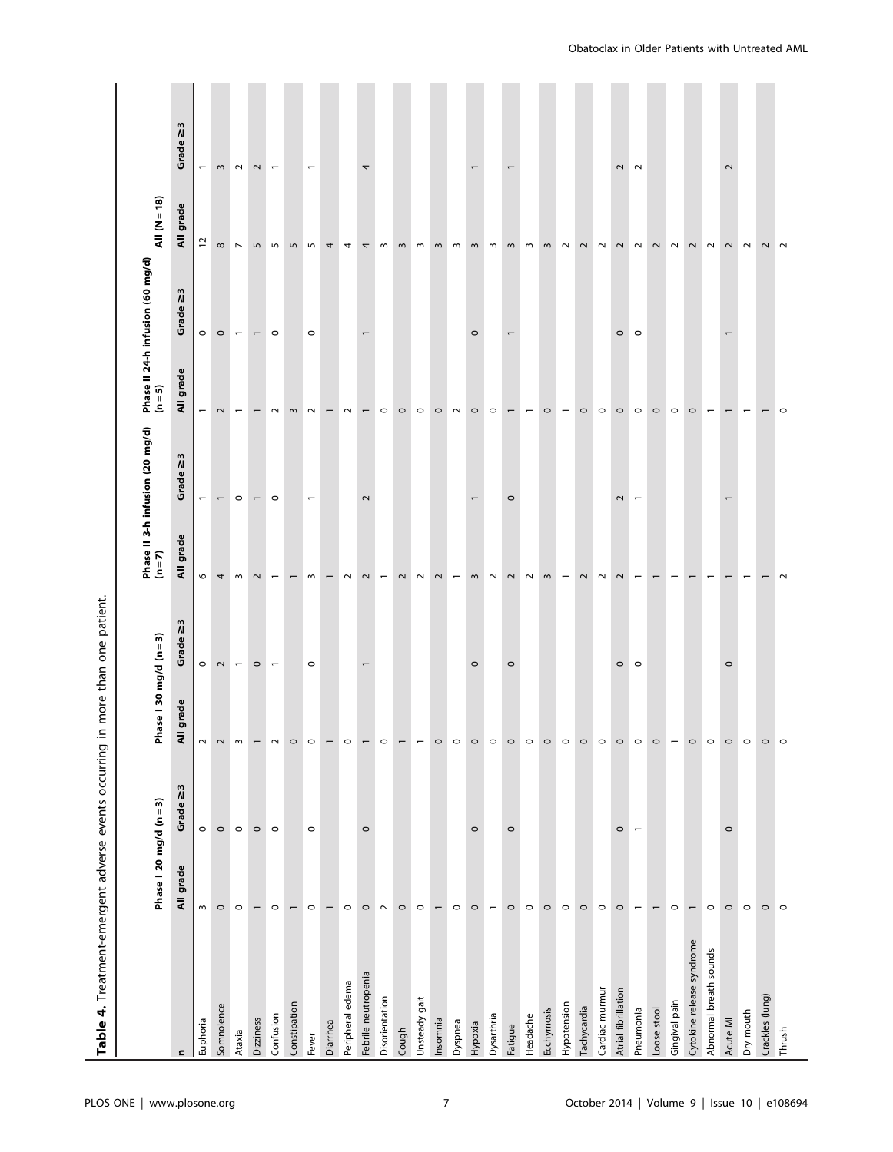| Table 4. Treatment-emergent adverse events occurring in |                          |                |                          | more than one patient.   |                          |                                            |                          |                                             |                                   |                          |
|---------------------------------------------------------|--------------------------|----------------|--------------------------|--------------------------|--------------------------|--------------------------------------------|--------------------------|---------------------------------------------|-----------------------------------|--------------------------|
|                                                         | Phase   20 mg/d (n = 3)  |                | Phase   30 mg/d (n = 3)  |                          |                          | Phase II 3-h infusion (20 mg/d)<br>(n = 7) |                          | Phase II 24-h infusion (60 mg/d)<br>(n = 5) | $All (N = 18)$                    |                          |
| $\mathbf{C}$                                            | All grade                | 2<br>Grade     | grade<br>$\bar{a}$       | 2<br>Grade               | All grade                | 2<br>Grade                                 | All grade                | Grade $\geq$ 3                              | grade<br>$\bar{\bar{\mathbf{x}}}$ | 2<br>Grade               |
| Euphoria                                                | $\sim$                   | $\circ$        | $\sim$                   | $\circ$                  | $\circ$                  | $\overline{\phantom{0}}$                   | $\overline{\phantom{m}}$ | $\circ$                                     | $\overline{\omega}$               | $\overline{\phantom{0}}$ |
| Somnolence                                              | $\circ$                  | $\circ$        | $\sim$                   | $\sim$                   | 4                        | $\overline{ }$                             | $\sim$                   | $\circ$                                     | $\infty$                          | $\,$ $\,$                |
| Ataxia                                                  | $\circ$                  | $\circ$        | $\,$ $\,$                | $\overline{\phantom{m}}$ | $\,$ $\,$                | $\circ$                                    | $\overline{\phantom{m}}$ | $\overline{\phantom{m}}$                    | $\overline{\phantom{a}}$          | $\sim$                   |
| Dizziness                                               |                          | $\circ$        | $\overline{\phantom{0}}$ | $\circ$                  | $\sim$                   | $\overline{\phantom{0}}$                   | $\overline{ }$           | $\overline{\phantom{0}}$                    | $\mathsf{L}\cap$                  | $\sim$                   |
| Confusion                                               | $\circ$                  | $\circ$        | $\sim$                   | $\overline{\phantom{m}}$ | $\overline{\phantom{0}}$ | $\circ$                                    | $\sim$                   | $\circ$                                     | S                                 | $\overline{\phantom{m}}$ |
| Constipation                                            | $\overline{\phantom{0}}$ |                | $\circ$                  |                          | $\overline{ }$           |                                            | $\sim$                   |                                             | 5                                 |                          |
| Fever                                                   | $\circ$                  | $\circ$        | $\circ$                  | $\circ$                  | $\,$ $\,$                | $\overline{\phantom{0}}$                   | $\sim$                   | $\circ$                                     | $\overline{5}$                    | $\overline{\phantom{0}}$ |
| Diarrhea                                                | $\overline{ }$           |                |                          |                          | $\overline{\phantom{0}}$ |                                            | $\overline{\phantom{0}}$ |                                             | 4                                 |                          |
| Peripheral edema                                        | $\circ$                  |                | $\circ$                  |                          | $\sim$                   |                                            | $\sim$                   |                                             | $\overline{4}$                    |                          |
| Febrile neutropenia                                     | $\circ$                  | $\circ$        |                          | $\overline{ }$           | $\mathbf{\sim}$          | $\sim$                                     | $\overline{ }$           | $\overline{ }$                              | 4                                 | 4                        |
| Disorientation                                          | $\sim$                   |                | $\circ$                  |                          | $\overline{\phantom{m}}$ |                                            | $\circ$                  |                                             | $\,$ $\,$                         |                          |
| Cough                                                   | $\circ$                  |                | $\overline{\phantom{0}}$ |                          | $\sim$                   |                                            | $\circ$                  |                                             | $\sim$                            |                          |
| Unsteady gait                                           | $\circ$                  |                | $\overline{\phantom{0}}$ |                          | $\sim$                   |                                            | $\circ$                  |                                             | $\sim$                            |                          |
| Insomnia                                                | $\overline{\phantom{m}}$ |                | $\circ$                  |                          | $\sim$                   |                                            | $\circ$                  |                                             | $\omega$                          |                          |
| Dyspnea                                                 | $\circ$                  |                | $\circ$                  |                          | $\overline{\phantom{m}}$ |                                            | $\sim$                   |                                             | $\sim$                            |                          |
| Hypoxia                                                 | $\circ$                  | $\circ$        | $\circ$                  | $\circ$                  | $\mathrel{\mathsf{m}}$   |                                            | $\circ$                  | $\circ$                                     | $\mathrel{\mathsf{m}}$            |                          |
| Dysarthria                                              | $\overline{\phantom{m}}$ |                | $\circ$                  |                          | $\sim$                   |                                            | $\circ$                  |                                             | $\sim$                            |                          |
| Fatigue                                                 | $\circ$                  | $\circ$        | $\circ$                  | $\circ$                  | $\sim$                   | $\circ$                                    | $\overline{ }$           | $\overline{\phantom{0}}$                    | $\sim$                            | $\overline{ }$           |
| Headache                                                | $\circ$                  |                | $\circ$                  |                          | $\sim$                   |                                            | $\overline{\phantom{m}}$ |                                             | $\mathsf{m}$                      |                          |
| Ecchymosis                                              | $\circ$                  |                | $\circ$                  |                          | $\sim$                   |                                            | $\circ$                  |                                             | $\mathrel{\mathsf{m}}$            |                          |
| Hypotension                                             | $\circ$                  |                | $\circ$                  |                          | $\overline{\phantom{m}}$ |                                            | $\overline{\phantom{m}}$ |                                             | $\sim$                            |                          |
| Tachycardia                                             | $\circ$                  |                | $\circ$                  |                          | $\sim$                   |                                            | $\circ$                  |                                             | $\sim$                            |                          |
| Cardiac murmur                                          | $\circ$                  |                | $\circ$                  |                          | $\sim$                   |                                            | $\circ$                  |                                             | $\sim$                            |                          |
| Atrial fibrillation                                     | $\circ$                  | $\circ$        | $\circ$                  | $\circ$                  | $\sim$                   | $\overline{\mathbf{c}}$                    | $\circ$                  | $\circ$                                     | $\overline{\mathbf{c}}$           | $\sim$                   |
| Pneumonia                                               | $\overline{\phantom{m}}$ | $\overline{a}$ | $\circ$                  | $\circ$                  | $\overline{ }$           | $\overline{\phantom{0}}$                   | $\circ$                  | $\circ$                                     | $\sim$                            | $\sim$                   |
| Loose stool                                             | $\overline{ }$           |                | $\circ$                  |                          |                          |                                            | $\circ$                  |                                             | $\sim$                            |                          |
| Gingival pain                                           | $\circ$                  |                | $\overline{\phantom{m}}$ |                          |                          |                                            | $\circ$                  |                                             | $\sim$                            |                          |
| Cytokine release syndrome                               | $\overline{ }$           |                | $\circ$                  |                          |                          |                                            | $\circ$                  |                                             | $\sim$                            |                          |
| Abnormal breath sounds                                  | $\circ$                  |                | $\circ$                  |                          |                          |                                            |                          |                                             | $\sim$                            |                          |
| Acute MI                                                | $\circ$                  | $\circ$        | $\circ$                  | $\circ$                  |                          |                                            |                          |                                             | $\sim$                            | $\sim$                   |
| Dry mouth                                               | $\circ$                  |                | $\circ$                  |                          |                          |                                            | $\overline{\phantom{0}}$ |                                             | $\sim$                            |                          |
| Crackles (lung)                                         | $\circ$                  |                | $\circ$                  |                          |                          |                                            | $\overline{ }$           |                                             | $\mathbf 2$                       |                          |
| Thrush                                                  | $\circ$                  |                | $\circ$                  |                          | $\sim$                   |                                            | $\circ$                  |                                             | $\sim$                            |                          |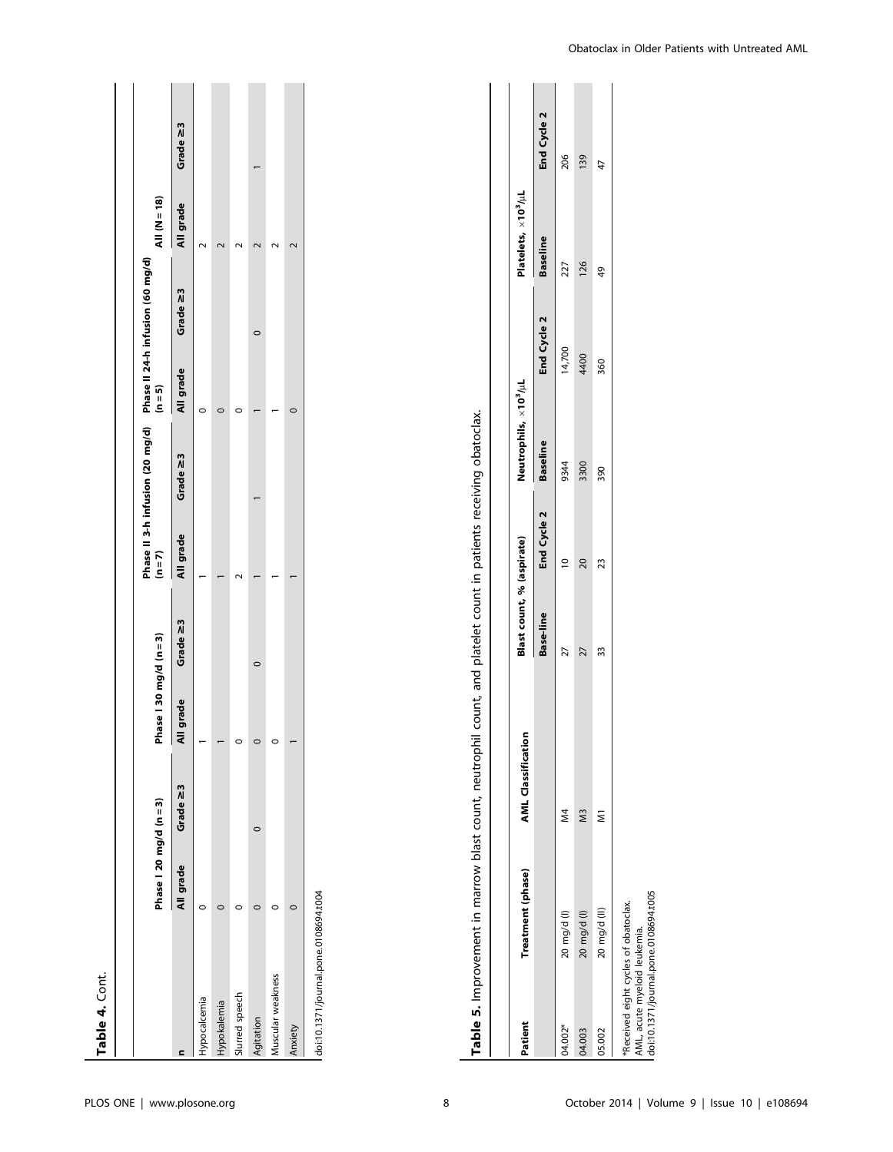|                   | Phase   20 mg/d (n = 3) |          | Phase   30 mg/d (n = 3) |          | $(n = 7)$ | Phase II 3-h infusion (20 mg/d) Phase II 24-h infusion (60 mg/d) | $(n=5)$   |          | All $(N=18)$ |          |
|-------------------|-------------------------|----------|-------------------------|----------|-----------|------------------------------------------------------------------|-----------|----------|--------------|----------|
|                   | All grade               | Grade ≥3 | grade<br>₹              | Grade ≥3 | All grade | Grade 23                                                         | All grade | Grade ≥3 | All grade    | Grade 23 |
| Hypocalcemia      |                         |          |                         |          |           |                                                                  |           |          |              |          |
| Hypokalemia       |                         |          |                         |          |           |                                                                  |           |          |              |          |
| Slurred speech    |                         |          |                         |          |           |                                                                  |           |          |              |          |
| Agitation         |                         |          |                         |          |           |                                                                  |           |          |              |          |
| Muscular weakness |                         |          |                         |          |           |                                                                  |           |          |              |          |
| Anxiety           |                         |          |                         |          |           |                                                                  |           |          |              |          |

| ć                                                                                                                   |
|---------------------------------------------------------------------------------------------------------------------|
|                                                                                                                     |
|                                                                                                                     |
|                                                                                                                     |
| うりょりょうりょう<br>l                                                                                                      |
|                                                                                                                     |
|                                                                                                                     |
| אפונמאסיון האינטיקי הפון הביר בכווני האוויר המוני האוויר בכווני האם האינטיקי בכווני האינטיקי המינטיקי האינטיקי<br>ī |
|                                                                                                                     |
| ;                                                                                                                   |
|                                                                                                                     |
|                                                                                                                     |
| Table 5. Imp.                                                                                                       |
|                                                                                                                     |
| i<br>D<br>D<br>D                                                                                                    |

| Patient                                                                                                      | Treatment (phase) | <b>AML Classification</b> | Blast count, % (aspirate) |                      | Neutrophils, ×10 <sup>3</sup> /uL |             | Platelets, $\times 10^3/\mu$ L |             |
|--------------------------------------------------------------------------------------------------------------|-------------------|---------------------------|---------------------------|----------------------|-----------------------------------|-------------|--------------------------------|-------------|
|                                                                                                              |                   |                           | Base-line                 | End Cycle 2 Baseline |                                   | End Cycle 2 | <b>Baseline</b>                | End Cycle 2 |
| 04.002*                                                                                                      | 20 mg/d (l)       | ⊉<br>M                    |                           |                      | 9344                              | 14,700      | 227                            | 206         |
| 04.003                                                                                                       | 20 mg/d (l)       | SM                        | 27                        | 20                   | 3300                              | 4400        | 126                            | 139         |
| 05.002                                                                                                       | 20 mg/d (II)      |                           | 33                        | 23                   | 390                               | 360         | 49                             | 47          |
| doi:10.1371/journal.pone.0108694.t005<br>Received eight cycles of obatoclax.<br>AML, acute myeloid leukemia. |                   |                           |                           |                      |                                   |             |                                |             |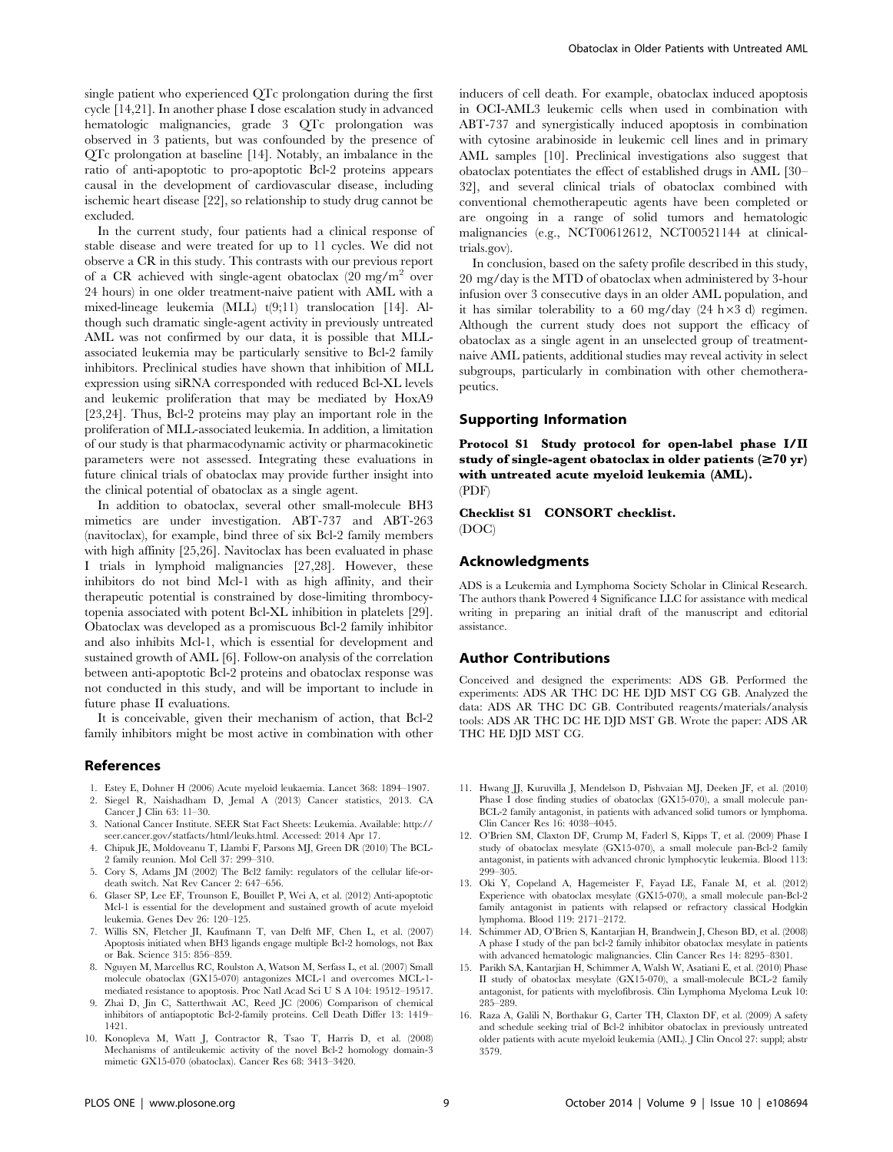single patient who experienced QTc prolongation during the first cycle [14,21]. In another phase I dose escalation study in advanced hematologic malignancies, grade 3 QTc prolongation was observed in 3 patients, but was confounded by the presence of QTc prolongation at baseline [14]. Notably, an imbalance in the ratio of anti-apoptotic to pro-apoptotic Bcl-2 proteins appears causal in the development of cardiovascular disease, including ischemic heart disease [22], so relationship to study drug cannot be excluded.

In the current study, four patients had a clinical response of stable disease and were treated for up to 11 cycles. We did not observe a CR in this study. This contrasts with our previous report of a CR achieved with single-agent obatoclax  $(20 \text{ mg/m}^2)$  over 24 hours) in one older treatment-naive patient with AML with a mixed-lineage leukemia (MLL) t(9;11) translocation [14]. Although such dramatic single-agent activity in previously untreated AML was not confirmed by our data, it is possible that MLLassociated leukemia may be particularly sensitive to Bcl-2 family inhibitors. Preclinical studies have shown that inhibition of MLL expression using siRNA corresponded with reduced Bcl-XL levels and leukemic proliferation that may be mediated by HoxA9 [23,24]. Thus, Bcl-2 proteins may play an important role in the proliferation of MLL-associated leukemia. In addition, a limitation of our study is that pharmacodynamic activity or pharmacokinetic parameters were not assessed. Integrating these evaluations in future clinical trials of obatoclax may provide further insight into the clinical potential of obatoclax as a single agent.

In addition to obatoclax, several other small-molecule BH3 mimetics are under investigation. ABT-737 and ABT-263 (navitoclax), for example, bind three of six Bcl-2 family members with high affinity [25,26]. Navitoclax has been evaluated in phase I trials in lymphoid malignancies [27,28]. However, these inhibitors do not bind Mcl-1 with as high affinity, and their therapeutic potential is constrained by dose-limiting thrombocytopenia associated with potent Bcl-XL inhibition in platelets [29]. Obatoclax was developed as a promiscuous Bcl-2 family inhibitor and also inhibits Mcl-1, which is essential for development and sustained growth of AML [6]. Follow-on analysis of the correlation between anti-apoptotic Bcl-2 proteins and obatoclax response was not conducted in this study, and will be important to include in future phase II evaluations.

It is conceivable, given their mechanism of action, that Bcl-2 family inhibitors might be most active in combination with other

#### References

- 1. Estey E, Dohner H (2006) Acute myeloid leukaemia. Lancet 368: 1894–1907. 2. Siegel R, Naishadham D, Jemal A (2013) Cancer statistics, 2013. CA
- Cancer J Clin 63: 11–30. 3. National Cancer Institute. SEER Stat Fact Sheets: Leukemia. Available: [http://](http://seer.cancer.gov/statfacts/html/leuks.html) [seer.cancer.gov/statfacts/html/leuks.html.](http://seer.cancer.gov/statfacts/html/leuks.html) Accessed: 2014 Apr 17.
- 4. Chipuk JE, Moldoveanu T, Llambi F, Parsons MJ, Green DR (2010) The BCL-2 family reunion. Mol Cell 37: 299–310.
- 5. Cory S, Adams JM (2002) The Bcl2 family: regulators of the cellular life-ordeath switch. Nat Rev Cancer 2: 647–656.
- 6. Glaser SP, Lee EF, Trounson E, Bouillet P, Wei A, et al. (2012) Anti-apoptotic Mcl-1 is essential for the development and sustained growth of acute myeloid leukemia. Genes Dev 26: 120–125.
- 7. Willis SN, Fletcher JI, Kaufmann T, van Delft MF, Chen L, et al. (2007) Apoptosis initiated when BH3 ligands engage multiple Bcl-2 homologs, not Bax or Bak. Science 315: 856–859.
- 8. Nguyen M, Marcellus RC, Roulston A, Watson M, Serfass L, et al. (2007) Small molecule obatoclax (GX15-070) antagonizes MCL-1 and overcomes MCL-1 mediated resistance to apoptosis. Proc Natl Acad Sci U S A 104: 19512–19517.
- 9. Zhai D, Jin C, Satterthwait AC, Reed JC (2006) Comparison of chemical inhibitors of antiapoptotic Bcl-2-family proteins. Cell Death Differ 13: 1419– 1421.
- 10. Konopleva M, Watt J, Contractor R, Tsao T, Harris D, et al. (2008) Mechanisms of antileukemic activity of the novel Bcl-2 homology domain-3 mimetic GX15-070 (obatoclax). Cancer Res 68: 3413–3420.

inducers of cell death. For example, obatoclax induced apoptosis in OCI-AML3 leukemic cells when used in combination with ABT-737 and synergistically induced apoptosis in combination with cytosine arabinoside in leukemic cell lines and in primary AML samples [10]. Preclinical investigations also suggest that obatoclax potentiates the effect of established drugs in AML [30– 32], and several clinical trials of obatoclax combined with conventional chemotherapeutic agents have been completed or are ongoing in a range of solid tumors and hematologic malignancies (e.g., NCT00612612, NCT00521144 at clinicaltrials.gov).

In conclusion, based on the safety profile described in this study, 20 mg/day is the MTD of obatoclax when administered by 3-hour infusion over 3 consecutive days in an older AML population, and it has similar tolerability to a 60 mg/day  $(24 h \times 3 d)$  regimen. Although the current study does not support the efficacy of obatoclax as a single agent in an unselected group of treatmentnaive AML patients, additional studies may reveal activity in select subgroups, particularly in combination with other chemotherapeutics.

## Supporting Information

Protocol S1 Study protocol for open-label phase I/II study of single-agent obatoclax in older patients  $(\geq 70 \text{ yr})$ with untreated acute myeloid leukemia (AML). (PDF)

Checklist S1 CONSORT checklist. (DOC)

## Acknowledgments

ADS is a Leukemia and Lymphoma Society Scholar in Clinical Research. The authors thank Powered 4 Significance LLC for assistance with medical writing in preparing an initial draft of the manuscript and editorial assistance.

## Author Contributions

Conceived and designed the experiments: ADS GB. Performed the experiments: ADS AR THC DC HE DJD MST CG GB. Analyzed the data: ADS AR THC DC GB. Contributed reagents/materials/analysis tools: ADS AR THC DC HE DJD MST GB. Wrote the paper: ADS AR THC HE DJD MST CG.

- 11. Hwang JJ, Kuruvilla J, Mendelson D, Pishvaian MJ, Deeken JF, et al. (2010) Phase I dose finding studies of obatoclax (GX15-070), a small molecule pan-BCL-2 family antagonist, in patients with advanced solid tumors or lymphoma. Clin Cancer Res 16: 4038–4045.
- 12. O'Brien SM, Claxton DF, Crump M, Faderl S, Kipps T, et al. (2009) Phase I study of obatoclax mesylate (GX15-070), a small molecule pan-Bcl-2 family antagonist, in patients with advanced chronic lymphocytic leukemia. Blood 113: 299–305.
- 13. Oki Y, Copeland A, Hagemeister F, Fayad LE, Fanale M, et al. (2012) Experience with obatoclax mesylate (GX15-070), a small molecule pan-Bcl-2 family antagonist in patients with relapsed or refractory classical Hodgkin lymphoma. Blood 119: 2171–2172.
- 14. Schimmer AD, O'Brien S, Kantarjian H, Brandwein J, Cheson BD, et al. (2008) A phase I study of the pan bcl-2 family inhibitor obatoclax mesylate in patients with advanced hematologic malignancies. Clin Cancer Res 14: 8295–8301.
- 15. Parikh SA, Kantarjian H, Schimmer A, Walsh W, Asatiani E, et al. (2010) Phase II study of obatoclax mesylate (GX15-070), a small-molecule BCL-2 family antagonist, for patients with myelofibrosis. Clin Lymphoma Myeloma Leuk 10: 285–289.
- 16. Raza A, Galili N, Borthakur G, Carter TH, Claxton DF, et al. (2009) A safety and schedule seeking trial of Bcl-2 inhibitor obatoclax in previously untreated older patients with acute myeloid leukemia (AML). J Clin Oncol 27: suppl; abstr 3579.